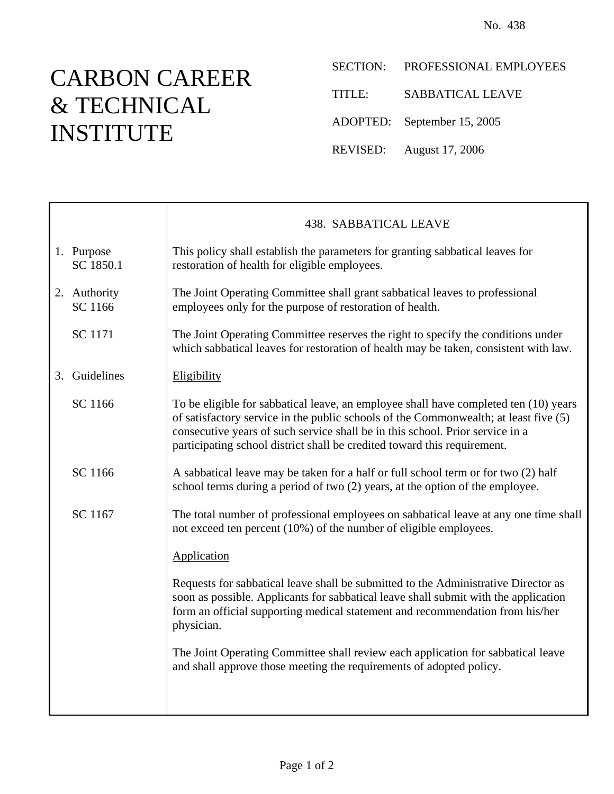## CARBON CAREER & TECHNICAL INSTITUTE

 $\overline{\phantom{a}}$ 

Г

SECTION: PROFESSIONAL EMPLOYEES

TITLE: SABBATICAL LEAVE

ADOPTED: September 15, 2005

REVISED: August 17, 2006

|                         | <b>438. SABBATICAL LEAVE</b>                                                                                                                                                                                                                                                                                                              |
|-------------------------|-------------------------------------------------------------------------------------------------------------------------------------------------------------------------------------------------------------------------------------------------------------------------------------------------------------------------------------------|
| 1. Purpose<br>SC 1850.1 | This policy shall establish the parameters for granting sabbatical leaves for<br>restoration of health for eligible employees.                                                                                                                                                                                                            |
| 2. Authority<br>SC 1166 | The Joint Operating Committee shall grant sabbatical leaves to professional<br>employees only for the purpose of restoration of health.                                                                                                                                                                                                   |
| SC 1171                 | The Joint Operating Committee reserves the right to specify the conditions under<br>which sabbatical leaves for restoration of health may be taken, consistent with law.                                                                                                                                                                  |
| 3. Guidelines           | Eligibility                                                                                                                                                                                                                                                                                                                               |
| SC 1166                 | To be eligible for sabbatical leave, an employee shall have completed ten (10) years<br>of satisfactory service in the public schools of the Commonwealth; at least five (5)<br>consecutive years of such service shall be in this school. Prior service in a<br>participating school district shall be credited toward this requirement. |
| SC 1166                 | A sabbatical leave may be taken for a half or full school term or for two (2) half<br>school terms during a period of two (2) years, at the option of the employee.                                                                                                                                                                       |
| SC 1167                 | The total number of professional employees on sabbatical leave at any one time shall<br>not exceed ten percent (10%) of the number of eligible employees.                                                                                                                                                                                 |
|                         | Application                                                                                                                                                                                                                                                                                                                               |
|                         | Requests for sabbatical leave shall be submitted to the Administrative Director as<br>soon as possible. Applicants for sabbatical leave shall submit with the application<br>form an official supporting medical statement and recommendation from his/her<br>physician.                                                                  |
|                         | The Joint Operating Committee shall review each application for sabbatical leave<br>and shall approve those meeting the requirements of adopted policy.                                                                                                                                                                                   |
|                         |                                                                                                                                                                                                                                                                                                                                           |